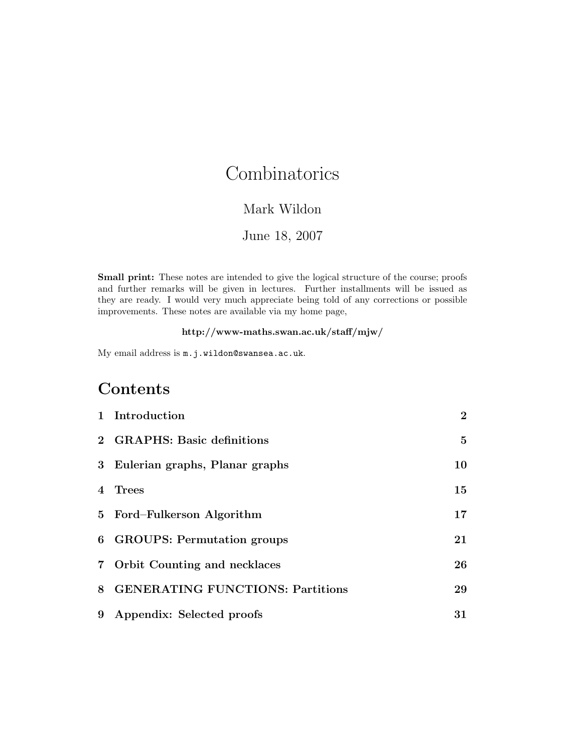# **Combinatorics**

#### Mark Wildon

#### June 18, 2007

Small print: These notes are intended to give the logical structure of the course; proofs and further remarks will be given in lectures. Further installments will be issued as they are ready. I would very much appreciate being told of any corrections or possible improvements. These notes are available via my home page,

#### http://www-maths.swan.ac.uk/staff/mjw/

My email address is m.j.wildon@swansea.ac.uk.

## Contents

|                | 1 Introduction                          | $\bf{2}$ |
|----------------|-----------------------------------------|----------|
|                | 2 GRAPHS: Basic definitions             | 5        |
|                | 3 Eulerian graphs, Planar graphs        | 10       |
| $\overline{4}$ | Trees                                   | 15       |
|                | 5 Ford-Fulkerson Algorithm              | 17       |
|                | 6 GROUPS: Permutation groups            | 21       |
|                | 7 Orbit Counting and necklaces          | 26       |
| 8              | <b>GENERATING FUNCTIONS: Partitions</b> | 29       |
| 9              | Appendix: Selected proofs               | 31       |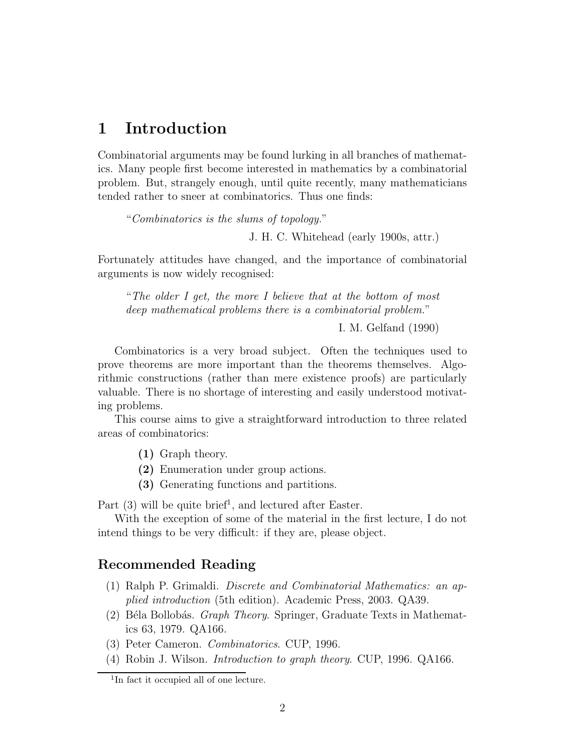## 1 Introduction

Combinatorial arguments may be found lurking in all branches of mathematics. Many people first become interested in mathematics by a combinatorial problem. But, strangely enough, until quite recently, many mathematicians tended rather to sneer at combinatorics. Thus one finds:

"Combinatorics is the slums of topology."

J. H. C. Whitehead (early 1900s, attr.)

Fortunately attitudes have changed, and the importance of combinatorial arguments is now widely recognised:

"The older I get, the more I believe that at the bottom of most deep mathematical problems there is a combinatorial problem."

I. M. Gelfand (1990)

Combinatorics is a very broad subject. Often the techniques used to prove theorems are more important than the theorems themselves. Algorithmic constructions (rather than mere existence proofs) are particularly valuable. There is no shortage of interesting and easily understood motivating problems.

This course aims to give a straightforward introduction to three related areas of combinatorics:

- (1) Graph theory.
- (2) Enumeration under group actions.
- (3) Generating functions and partitions.

Part (3) will be quite brief<sup>1</sup>, and lectured after Easter.

With the exception of some of the material in the first lecture, I do not intend things to be very difficult: if they are, please object.

#### Recommended Reading

- (1) Ralph P. Grimaldi. Discrete and Combinatorial Mathematics: an applied introduction (5th edition). Academic Press, 2003. QA39.
- (2) Béla Bollobás. *Graph Theory*. Springer, Graduate Texts in Mathematics 63, 1979. QA166.
- (3) Peter Cameron. Combinatorics. CUP, 1996.
- (4) Robin J. Wilson. Introduction to graph theory. CUP, 1996. QA166.

<sup>1</sup> In fact it occupied all of one lecture.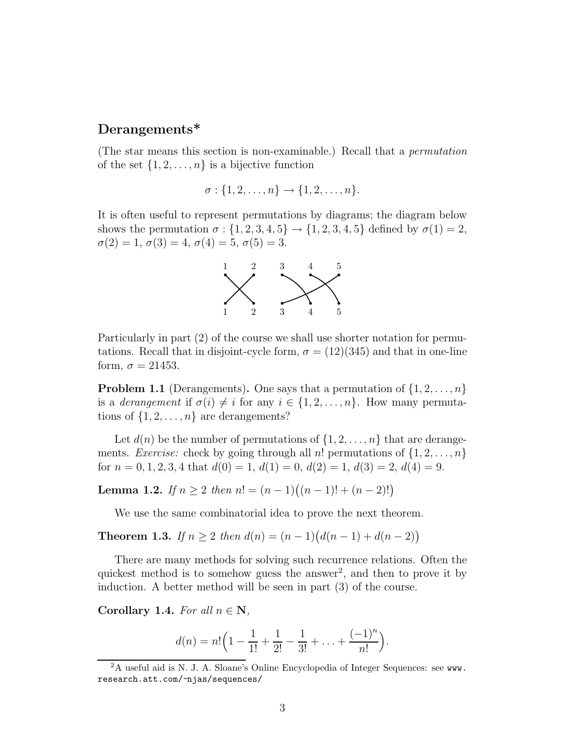### Derangements\*

(The star means this section is non-examinable.) Recall that a permutation of the set  $\{1, 2, \ldots, n\}$  is a bijective function

$$
\sigma: \{1, 2, \ldots, n\} \to \{1, 2, \ldots, n\}.
$$

It is often useful to represent permutations by diagrams; the diagram below shows the permutation  $\sigma: \{1, 2, 3, 4, 5\} \rightarrow \{1, 2, 3, 4, 5\}$  defined by  $\sigma(1) = 2$ ,  $\sigma(2) = 1, \sigma(3) = 4, \sigma(4) = 5, \sigma(5) = 3.$ 



Particularly in part (2) of the course we shall use shorter notation for permutations. Recall that in disjoint-cycle form,  $\sigma = (12)(345)$  and that in one-line form,  $\sigma = 21453$ .

**Problem 1.1** (Derangements). One says that a permutation of  $\{1, 2, \ldots, n\}$ is a *derangement* if  $\sigma(i) \neq i$  for any  $i \in \{1, 2, ..., n\}$ . How many permutations of  $\{1, 2, \ldots, n\}$  are derangements?

Let  $d(n)$  be the number of permutations of  $\{1, 2, \ldots, n\}$  that are derangements. *Exercise:* check by going through all n! permutations of  $\{1, 2, \ldots, n\}$ for  $n = 0, 1, 2, 3, 4$  that  $d(0) = 1$ ,  $d(1) = 0$ ,  $d(2) = 1$ ,  $d(3) = 2$ ,  $d(4) = 9$ .

**Lemma 1.2.** If  $n \geq 2$  then  $n! = (n-1)((n-1)! + (n-2)!)$ 

We use the same combinatorial idea to prove the next theorem.

**Theorem 1.3.** If  $n \geq 2$  then  $d(n) = (n-1)(d(n-1) + d(n-2))$ 

There are many methods for solving such recurrence relations. Often the quickest method is to somehow guess the answer<sup>2</sup>, and then to prove it by induction. A better method will be seen in part (3) of the course.

Corollary 1.4. For all  $n \in \mathbb{N}$ ,

$$
d(n) = n! \left(1 - \frac{1}{1!} + \frac{1}{2!} - \frac{1}{3!} + \ldots + \frac{(-1)^n}{n!}\right).
$$

<sup>2</sup>A useful aid is N. J. A. Sloane's Online Encyclopedia of Integer Sequences: see www. research.att.com/~njas/sequences/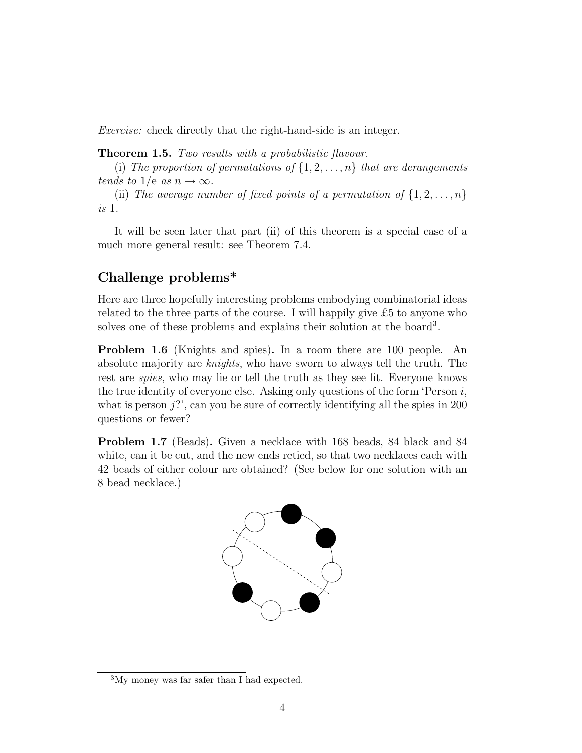Exercise: check directly that the right-hand-side is an integer.

**Theorem 1.5.** Two results with a probabilistic flavour.

(i) The proportion of permutations of  $\{1, 2, \ldots, n\}$  that are derangements tends to 1/e as  $n \to \infty$ .

(ii) The average number of fixed points of a permutation of  $\{1, 2, \ldots, n\}$ is 1.

It will be seen later that part (ii) of this theorem is a special case of a much more general result: see Theorem 7.4.

### Challenge problems\*

Here are three hopefully interesting problems embodying combinatorial ideas related to the three parts of the course. I will happily give  $\pounds 5$  to anyone who solves one of these problems and explains their solution at the board<sup>3</sup>.

Problem 1.6 (Knights and spies). In a room there are 100 people. An absolute majority are knights, who have sworn to always tell the truth. The rest are spies, who may lie or tell the truth as they see fit. Everyone knows the true identity of everyone else. Asking only questions of the form 'Person  $i$ , what is person  $j$ ?', can you be sure of correctly identifying all the spies in 200 questions or fewer?

Problem 1.7 (Beads). Given a necklace with 168 beads, 84 black and 84 white, can it be cut, and the new ends retied, so that two necklaces each with 42 beads of either colour are obtained? (See below for one solution with an 8 bead necklace.)



<sup>3</sup>My money was far safer than I had expected.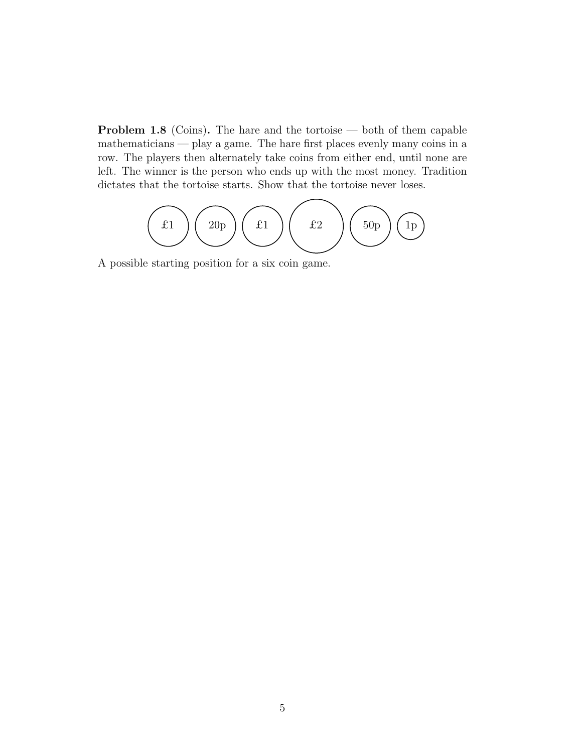Problem 1.8 (Coins). The hare and the tortoise — both of them capable mathematicians — play a game. The hare first places evenly many coins in a row. The players then alternately take coins from either end, until none are left. The winner is the person who ends up with the most money. Tradition dictates that the tortoise starts. Show that the tortoise never loses.

$$
\left(\begin{array}{c}\n\text{f1}\n\end{array}\right)\n\left(\begin{array}{c}\n\text{f2}\n\end{array}\right)\n\left(\begin{array}{c}\n\text{f1}\n\end{array}\right)\n\left(\begin{array}{c}\n\text{f0}\n\end{array}\right)\n\left(\begin{array}{c}\n\text{f1}\n\end{array}\right)
$$

A possible starting position for a six coin game.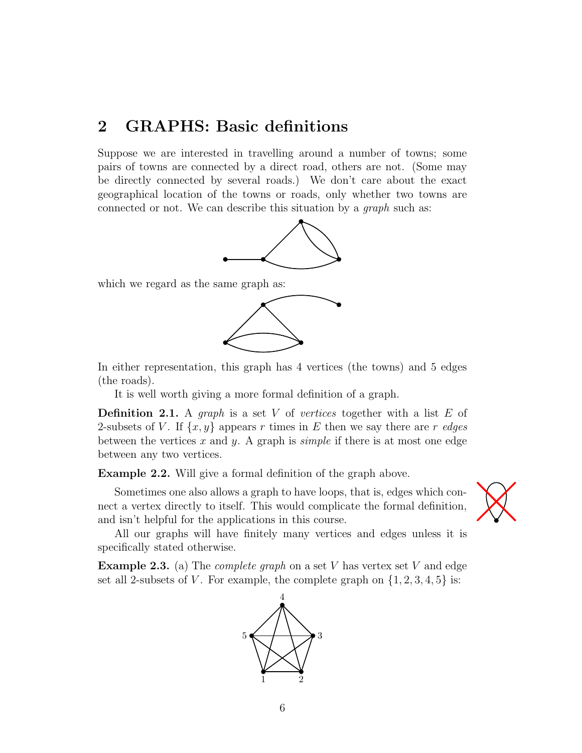## 2 GRAPHS: Basic definitions

Suppose we are interested in travelling around a number of towns; some pairs of towns are connected by a direct road, others are not. (Some may be directly connected by several roads.) We don't care about the exact geographical location of the towns or roads, only whether two towns are connected or not. We can describe this situation by a graph such as:



which we regard as the same graph as:



In either representation, this graph has 4 vertices (the towns) and 5 edges (the roads).

It is well worth giving a more formal definition of a graph.

**Definition 2.1.** A graph is a set V of vertices together with a list  $E$  of 2-subsets of V. If  $\{x, y\}$  appears r times in E then we say there are r edges between the vertices x and y. A graph is *simple* if there is at most one edge between any two vertices.

Example 2.2. Will give a formal definition of the graph above.

Sometimes one also allows a graph to have loops, that is, edges which connect a vertex directly to itself. This would complicate the formal definition, and isn't helpful for the applications in this course.



All our graphs will have finitely many vertices and edges unless it is specifically stated otherwise.

**Example 2.3.** (a) The *complete graph* on a set V has vertex set V and edge set all 2-subsets of V. For example, the complete graph on  $\{1, 2, 3, 4, 5\}$  is:

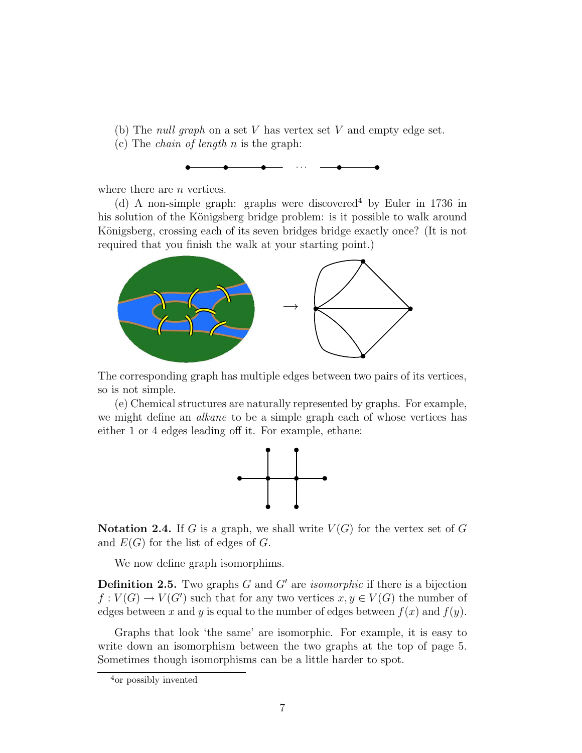- (b) The *null graph* on a set  $V$  has vertex set  $V$  and empty edge set.
- (c) The *chain of length*  $n$  is the graph:



where there are *n* vertices.

(d) A non-simple graph: graphs were discovered<sup>4</sup> by Euler in 1736 in his solution of the Königsberg bridge problem: is it possible to walk around Königsberg, crossing each of its seven bridges bridge exactly once? (It is not required that you finish the walk at your starting point.)



The corresponding graph has multiple edges between two pairs of its vertices, so is not simple.

(e) Chemical structures are naturally represented by graphs. For example, we might define an *alkane* to be a simple graph each of whose vertices has either 1 or 4 edges leading off it. For example, ethane:



**Notation 2.4.** If G is a graph, we shall write  $V(G)$  for the vertex set of G and  $E(G)$  for the list of edges of G.

We now define graph isomorphims.

**Definition 2.5.** Two graphs  $G$  and  $G'$  are *isomorphic* if there is a bijection  $f: V(G) \to V(G')$  such that for any two vertices  $x, y \in V(G)$  the number of edges between x and y is equal to the number of edges between  $f(x)$  and  $f(y)$ .

Graphs that look 'the same' are isomorphic. For example, it is easy to write down an isomorphism between the two graphs at the top of page 5. Sometimes though isomorphisms can be a little harder to spot.

<sup>4</sup>or possibly invented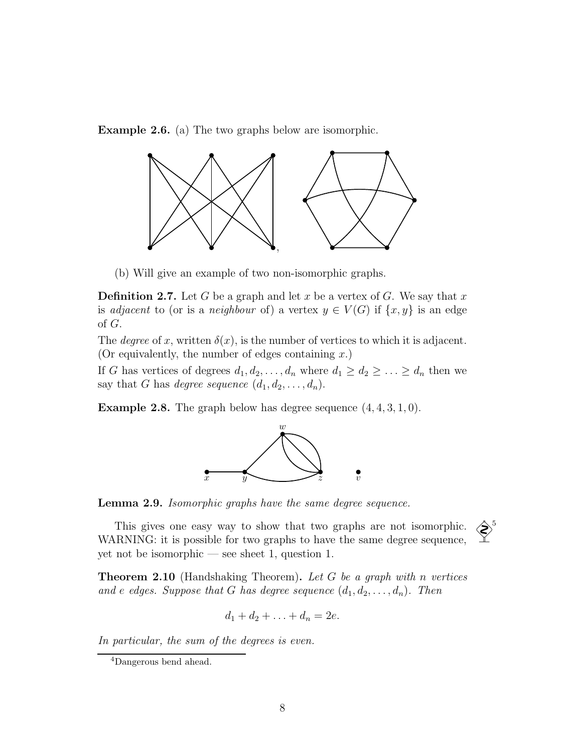Example 2.6. (a) The two graphs below are isomorphic.



(b) Will give an example of two non-isomorphic graphs.

**Definition 2.7.** Let G be a graph and let x be a vertex of G. We say that x is *adjacent* to (or is a *neighbour* of) a vertex  $y \in V(G)$  if  $\{x, y\}$  is an edge of G.

The *degree* of x, written  $\delta(x)$ , is the number of vertices to which it is adjacent. (Or equivalently, the number of edges containing  $x$ .)

If G has vertices of degrees  $d_1, d_2, \ldots, d_n$  where  $d_1 \geq d_2 \geq \ldots \geq d_n$  then we say that G has degree sequence  $(d_1, d_2, \ldots, d_n)$ .

**Example 2.8.** The graph below has degree sequence  $(4, 4, 3, 1, 0)$ .



Lemma 2.9. Isomorphic graphs have the same degree sequence.

This gives one easy way to show that two graphs are not isomorphic.  $\left\langle \right\rangle^5$ <br>RNING: it is possible for two graphs to have the same degree sequence WARNING: it is possible for two graphs to have the same degree sequence, yet not be isomorphic — see sheet 1, question 1.



**Theorem 2.10** (Handshaking Theorem). Let G be a graph with n vertices and e edges. Suppose that G has degree sequence  $(d_1, d_2, \ldots, d_n)$ . Then

$$
d_1+d_2+\ldots+d_n=2e.
$$

In particular, the sum of the degrees is even.

<sup>4</sup>Dangerous bend ahead.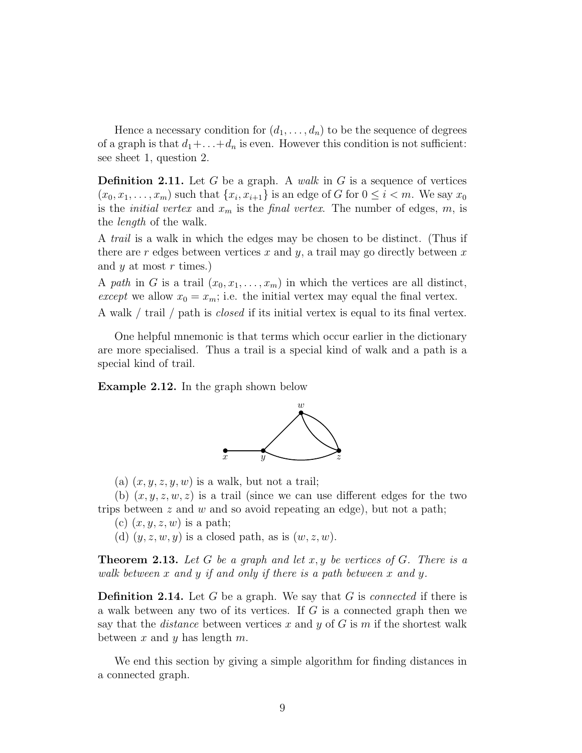Hence a necessary condition for  $(d_1, \ldots, d_n)$  to be the sequence of degrees of a graph is that  $d_1 + \ldots + d_n$  is even. However this condition is not sufficient: see sheet 1, question 2.

**Definition 2.11.** Let G be a graph. A walk in G is a sequence of vertices  $(x_0, x_1, \ldots, x_m)$  such that  $\{x_i, x_{i+1}\}\$ is an edge of G for  $0 \le i < m$ . We say  $x_0$ is the *initial vertex* and  $x_m$  is the *final vertex*. The number of edges, m, is the length of the walk.

A trail is a walk in which the edges may be chosen to be distinct. (Thus if there are r edges between vertices x and y, a trail may go directly between x and  $y$  at most  $r$  times.)

A path in G is a trail  $(x_0, x_1, \ldots, x_m)$  in which the vertices are all distinct, except we allow  $x_0 = x_m$ ; i.e. the initial vertex may equal the final vertex.

A walk / trail / path is closed if its initial vertex is equal to its final vertex.

One helpful mnemonic is that terms which occur earlier in the dictionary are more specialised. Thus a trail is a special kind of walk and a path is a special kind of trail.

Example 2.12. In the graph shown below



(a)  $(x, y, z, y, w)$  is a walk, but not a trail;

(b)  $(x, y, z, w, z)$  is a trail (since we can use different edges for the two trips between  $z$  and  $w$  and so avoid repeating an edge), but not a path;

- (c)  $(x, y, z, w)$  is a path;
- (d)  $(y, z, w, y)$  is a closed path, as is  $(w, z, w)$ .

**Theorem 2.13.** Let G be a graph and let  $x, y$  be vertices of G. There is a walk between x and y if and only if there is a path between x and y.

**Definition 2.14.** Let G be a graph. We say that G is *connected* if there is a walk between any two of its vertices. If  $G$  is a connected graph then we say that the *distance* between vertices x and y of G is m if the shortest walk between x and y has length  $m$ .

We end this section by giving a simple algorithm for finding distances in a connected graph.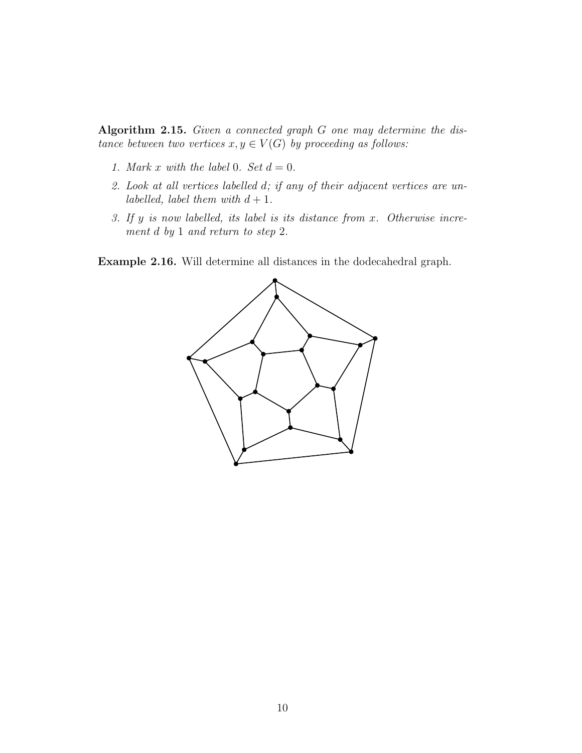Algorithm 2.15. Given a connected graph G one may determine the distance between two vertices  $x, y \in V(G)$  by proceeding as follows:

- 1. Mark x with the label 0. Set  $d = 0$ .
- 2. Look at all vertices labelled d; if any of their adjacent vertices are unlabelled, label them with  $d + 1$ .
- 3. If y is now labelled, its label is its distance from x. Otherwise increment d by 1 and return to step 2.

Example 2.16. Will determine all distances in the dodecahedral graph.

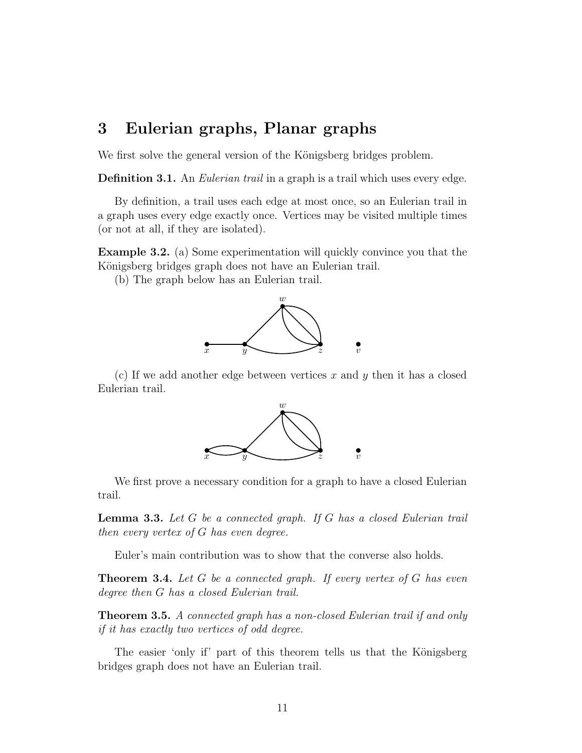### 3 Eulerian graphs, Planar graphs

We first solve the general version of the Königsberg bridges problem.

**Definition 3.1.** An *Eulerian trail* in a graph is a trail which uses every edge.

By definition, a trail uses each edge at most once, so an Eulerian trail in a graph uses every edge exactly once. Vertices may be visited multiple times (or not at all, if they are isolated).

Example 3.2. (a) Some experimentation will quickly convince you that the Königsberg bridges graph does not have an Eulerian trail.

(b) The graph below has an Eulerian trail.



(c) If we add another edge between vertices x and y then it has a closed Eulerian trail.



We first prove a necessary condition for a graph to have a closed Eulerian trail.

Lemma 3.3. Let G be a connected graph. If G has a closed Eulerian trail then every vertex of G has even degree.

Euler's main contribution was to show that the converse also holds.

**Theorem 3.4.** Let  $G$  be a connected graph. If every vertex of  $G$  has even degree then G has a closed Eulerian trail.

**Theorem 3.5.** A connected graph has a non-closed Eulerian trail if and only if it has exactly two vertices of odd degree.

The easier 'only if' part of this theorem tells us that the Königsberg bridges graph does not have an Eulerian trail.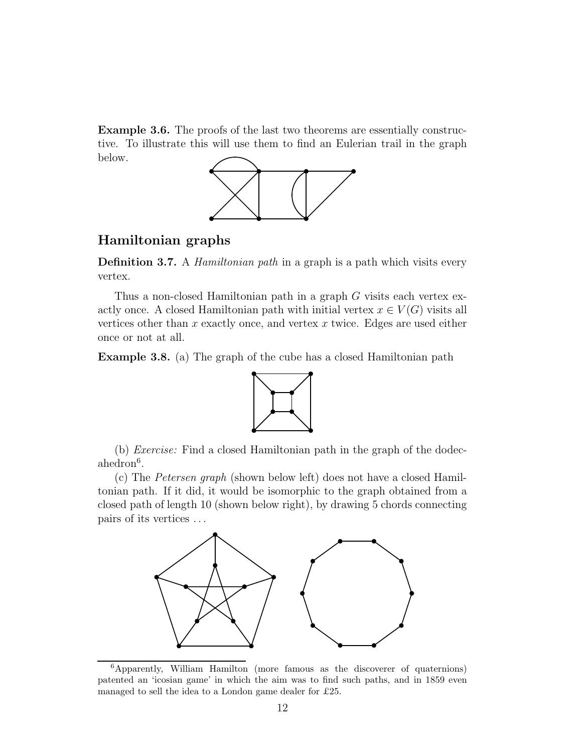Example 3.6. The proofs of the last two theorems are essentially constructive. To illustrate this will use them to find an Eulerian trail in the graph below.



#### Hamiltonian graphs

**Definition 3.7.** A *Hamiltonian path* in a graph is a path which visits every vertex.

Thus a non-closed Hamiltonian path in a graph G visits each vertex exactly once. A closed Hamiltonian path with initial vertex  $x \in V(G)$  visits all vertices other than  $x$  exactly once, and vertex  $x$  twice. Edges are used either once or not at all.

Example 3.8. (a) The graph of the cube has a closed Hamiltonian path



(b) Exercise: Find a closed Hamiltonian path in the graph of the dodec $ahedron<sup>6</sup>$ .

(c) The Petersen graph (shown below left) does not have a closed Hamiltonian path. If it did, it would be isomorphic to the graph obtained from a closed path of length 10 (shown below right), by drawing 5 chords connecting pairs of its vertices . . .



<sup>6</sup>Apparently, William Hamilton (more famous as the discoverer of quaternions) patented an 'icosian game' in which the aim was to find such paths, and in 1859 even managed to sell the idea to a London game dealer for £25.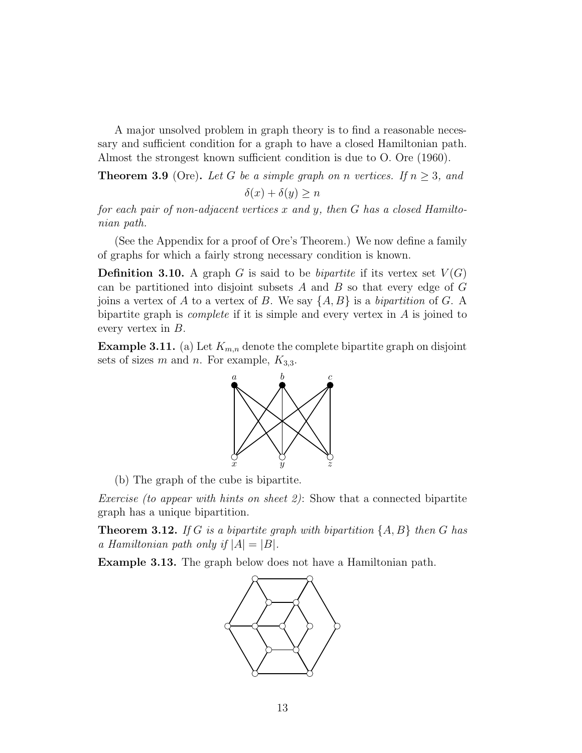A major unsolved problem in graph theory is to find a reasonable necessary and sufficient condition for a graph to have a closed Hamiltonian path. Almost the strongest known sufficient condition is due to O. Ore (1960).

**Theorem 3.9** (Ore). Let G be a simple graph on n vertices. If  $n \geq 3$ , and

$$
\delta(x) + \delta(y) \ge n
$$

for each pair of non-adjacent vertices  $x$  and  $y$ , then  $G$  has a closed Hamiltonian path.

(See the Appendix for a proof of Ore's Theorem.) We now define a family of graphs for which a fairly strong necessary condition is known.

**Definition 3.10.** A graph G is said to be *bipartite* if its vertex set  $V(G)$ can be partitioned into disjoint subsets  $A$  and  $B$  so that every edge of  $G$ joins a vertex of A to a vertex of B. We say  $\{A, B\}$  is a bipartition of G. A bipartite graph is *complete* if it is simple and every vertex in  $A$  is joined to every vertex in B.

**Example 3.11.** (a) Let  $K_{m,n}$  denote the complete bipartite graph on disjoint sets of sizes m and n. For example,  $K_{3,3}$ .



(b) The graph of the cube is bipartite.

*Exercise (to appear with hints on sheet 2)*: Show that a connected bipartite graph has a unique bipartition.

**Theorem 3.12.** If G is a bipartite graph with bipartition  $\{A, B\}$  then G has a Hamiltonian path only if  $|A| = |B|$ .

Example 3.13. The graph below does not have a Hamiltonian path.

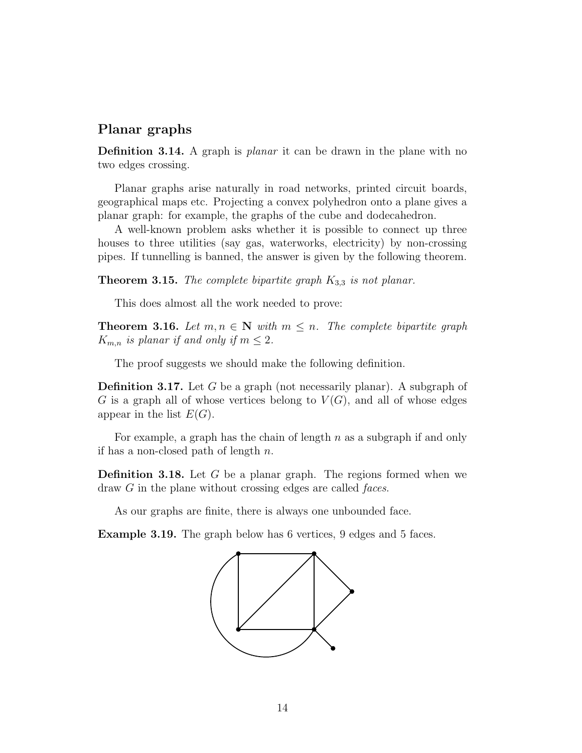#### Planar graphs

Definition 3.14. A graph is *planar* it can be drawn in the plane with no two edges crossing.

Planar graphs arise naturally in road networks, printed circuit boards, geographical maps etc. Projecting a convex polyhedron onto a plane gives a planar graph: for example, the graphs of the cube and dodecahedron.

A well-known problem asks whether it is possible to connect up three houses to three utilities (say gas, waterworks, electricity) by non-crossing pipes. If tunnelling is banned, the answer is given by the following theorem.

**Theorem 3.15.** The complete bipartite graph  $K_{3,3}$  is not planar.

This does almost all the work needed to prove:

**Theorem 3.16.** Let  $m, n \in \mathbb{N}$  with  $m \leq n$ . The complete bipartite graph  $K_{m,n}$  is planar if and only if  $m \leq 2$ .

The proof suggests we should make the following definition.

Definition 3.17. Let G be a graph (not necessarily planar). A subgraph of G is a graph all of whose vertices belong to  $V(G)$ , and all of whose edges appear in the list  $E(G)$ .

For example, a graph has the chain of length  $n$  as a subgraph if and only if has a non-closed path of length  $n$ .

Definition 3.18. Let G be a planar graph. The regions formed when we draw G in the plane without crossing edges are called *faces*.

As our graphs are finite, there is always one unbounded face.

Example 3.19. The graph below has 6 vertices, 9 edges and 5 faces.

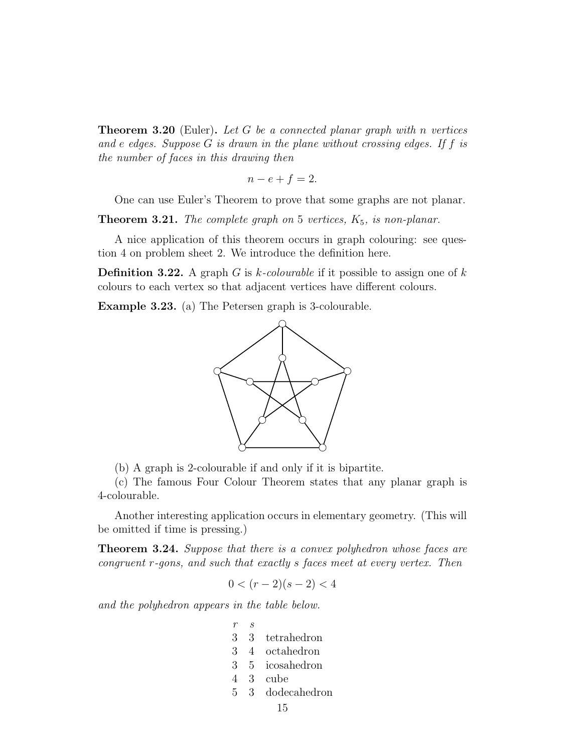**Theorem 3.20** (Euler). Let G be a connected planar graph with n vertices and e edges. Suppose  $G$  is drawn in the plane without crossing edges. If  $f$  is the number of faces in this drawing then

$$
n - e + f = 2.
$$

One can use Euler's Theorem to prove that some graphs are not planar.

**Theorem 3.21.** The complete graph on 5 vertices,  $K_5$ , is non-planar.

A nice application of this theorem occurs in graph colouring: see question 4 on problem sheet 2. We introduce the definition here.

**Definition 3.22.** A graph G is k-colourable if it possible to assign one of k colours to each vertex so that adjacent vertices have different colours.

Example 3.23. (a) The Petersen graph is 3-colourable.



(b) A graph is 2-colourable if and only if it is bipartite.

(c) The famous Four Colour Theorem states that any planar graph is 4-colourable.

Another interesting application occurs in elementary geometry. (This will be omitted if time is pressing.)

**Theorem 3.24.** Suppose that there is a convex polyhedron whose faces are congruent r-gons, and such that exactly s faces meet at every vertex. Then

$$
0 < (r-2)(s-2) < 4
$$

and the polyhedron appears in the table below.

- r s 3 3 tetrahedron
- 3 4 octahedron
- 3 5 icosahedron
- 4 3 cube
- 5 3 dodecahedron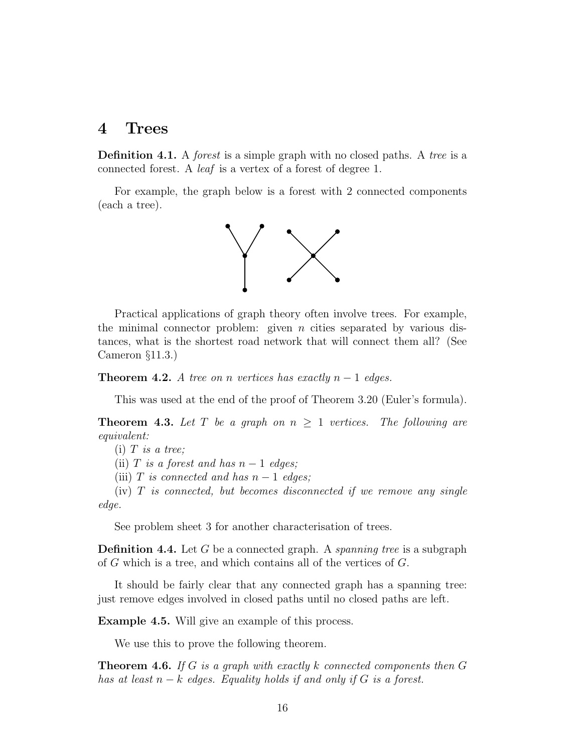### 4 Trees

**Definition 4.1.** A *forest* is a simple graph with no closed paths. A *tree* is a connected forest. A leaf is a vertex of a forest of degree 1.

For example, the graph below is a forest with 2 connected components (each a tree).



Practical applications of graph theory often involve trees. For example, the minimal connector problem: given  $n$  cities separated by various distances, what is the shortest road network that will connect them all? (See Cameron §11.3.)

**Theorem 4.2.** A tree on n vertices has exactly  $n-1$  edges.

This was used at the end of the proof of Theorem 3.20 (Euler's formula).

**Theorem 4.3.** Let T be a graph on  $n \geq 1$  vertices. The following are equivalent:

 $(i)$  T is a tree;

(ii) T is a forest and has  $n-1$  edges;

(iii) T is connected and has  $n-1$  edges;

 $(iv)$  T is connected, but becomes disconnected if we remove any single edge.

See problem sheet 3 for another characterisation of trees.

**Definition 4.4.** Let G be a connected graph. A *spanning tree* is a subgraph of G which is a tree, and which contains all of the vertices of G.

It should be fairly clear that any connected graph has a spanning tree: just remove edges involved in closed paths until no closed paths are left.

Example 4.5. Will give an example of this process.

We use this to prove the following theorem.

**Theorem 4.6.** If G is a graph with exactly k connected components then  $G$ has at least  $n - k$  edges. Equality holds if and only if G is a forest.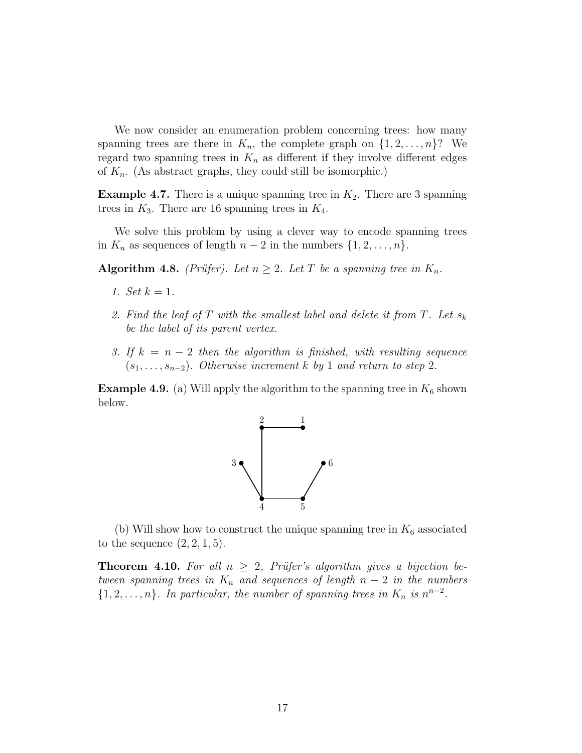We now consider an enumeration problem concerning trees: how many spanning trees are there in  $K_n$ , the complete graph on  $\{1, 2, \ldots, n\}$ ? We regard two spanning trees in  $K_n$  as different if they involve different edges of  $K_n$ . (As abstract graphs, they could still be isomorphic.)

**Example 4.7.** There is a unique spanning tree in  $K_2$ . There are 3 spanning trees in  $K_3$ . There are 16 spanning trees in  $K_4$ .

We solve this problem by using a clever way to encode spanning trees in  $K_n$  as sequences of length  $n-2$  in the numbers  $\{1, 2, \ldots, n\}.$ 

**Algorithm 4.8.** (Prüfer). Let  $n \geq 2$ . Let T be a spanning tree in  $K_n$ .

- 1. Set  $k = 1$ .
- 2. Find the leaf of T with the smallest label and delete it from T. Let  $s_k$ be the label of its parent vertex.
- 3. If  $k = n 2$  then the algorithm is finished, with resulting sequence  $(s_1, \ldots, s_{n-2})$ . Otherwise increment k by 1 and return to step 2.

**Example 4.9.** (a) Will apply the algorithm to the spanning tree in  $K_6$  shown below.



(b) Will show how to construct the unique spanning tree in  $K_6$  associated to the sequence  $(2, 2, 1, 5)$ .

**Theorem 4.10.** For all  $n \geq 2$ , Prüfer's algorithm gives a bijection between spanning trees in  $K_n$  and sequences of length  $n-2$  in the numbers  $\{1, 2, \ldots, n\}$ . In particular, the number of spanning trees in  $K_n$  is  $n^{n-2}$ .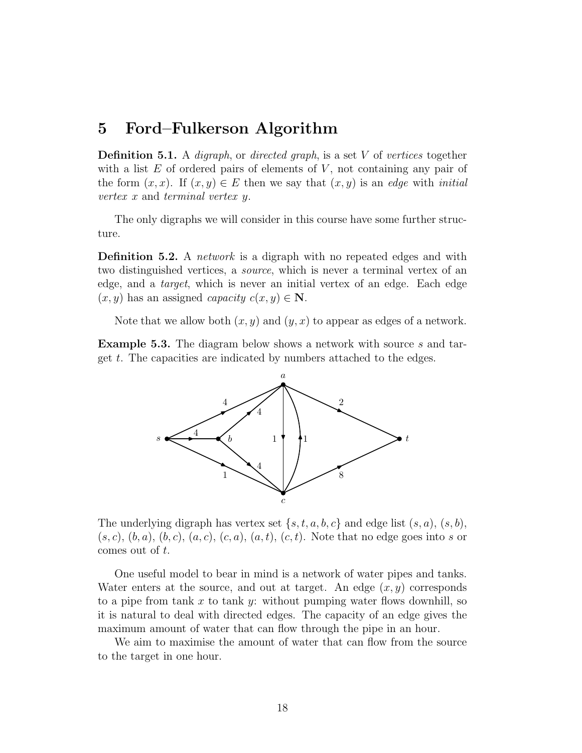### 5 Ford–Fulkerson Algorithm

**Definition 5.1.** A *digraph*, or *directed graph*, is a set V of vertices together with a list  $E$  of ordered pairs of elements of  $V$ , not containing any pair of the form  $(x, x)$ . If  $(x, y) \in E$  then we say that  $(x, y)$  is an edge with *initial* vertex x and terminal vertex y.

The only digraphs we will consider in this course have some further structure.

Definition 5.2. A *network* is a digraph with no repeated edges and with two distinguished vertices, a source, which is never a terminal vertex of an edge, and a target, which is never an initial vertex of an edge. Each edge  $(x, y)$  has an assigned *capacity*  $c(x, y) \in \mathbb{N}$ .

Note that we allow both  $(x, y)$  and  $(y, x)$  to appear as edges of a network.

**Example 5.3.** The diagram below shows a network with source s and target t. The capacities are indicated by numbers attached to the edges.



The underlying digraph has vertex set  $\{s, t, a, b, c\}$  and edge list  $(s, a), (s, b)$ ,  $(s, c), (b, a), (b, c), (a, c), (c, a), (a, t), (c, t).$  Note that no edge goes into s or comes out of t.

One useful model to bear in mind is a network of water pipes and tanks. Water enters at the source, and out at target. An edge  $(x, y)$  corresponds to a pipe from tank x to tank y: without pumping water flows downhill, so it is natural to deal with directed edges. The capacity of an edge gives the maximum amount of water that can flow through the pipe in an hour.

We aim to maximise the amount of water that can flow from the source to the target in one hour.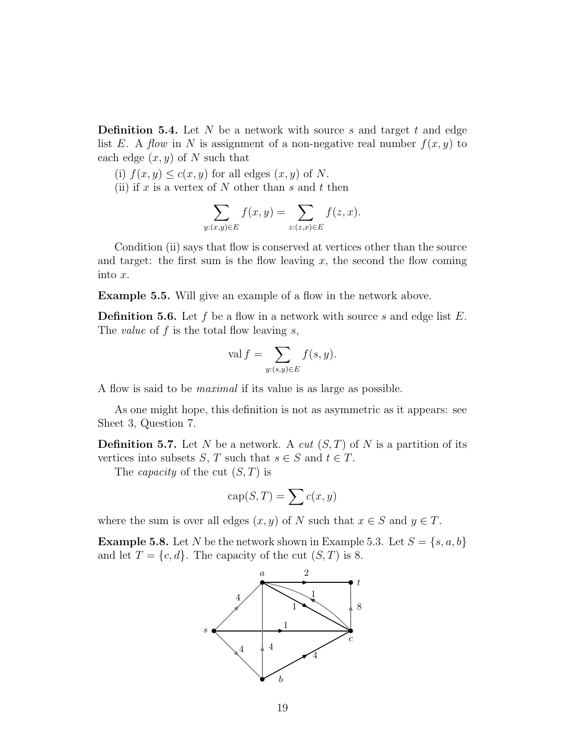**Definition 5.4.** Let  $N$  be a network with source  $s$  and target  $t$  and edge list E. A flow in N is assignment of a non-negative real number  $f(x, y)$  to each edge  $(x, y)$  of N such that

(i)  $f(x, y) \le c(x, y)$  for all edges  $(x, y)$  of N.

(ii) if x is a vertex of N other than s and t then

$$
\sum_{y:(x,y)\in E} f(x,y) = \sum_{z:(z,x)\in E} f(z,x).
$$

Condition (ii) says that flow is conserved at vertices other than the source and target: the first sum is the flow leaving  $x$ , the second the flow coming into x.

Example 5.5. Will give an example of a flow in the network above.

**Definition 5.6.** Let f be a flow in a network with source s and edge list  $E$ . The *value* of  $f$  is the total flow leaving  $s$ ,

$$
\operatorname{val} f = \sum_{y:(s,y)\in E} f(s,y).
$$

A flow is said to be maximal if its value is as large as possible.

As one might hope, this definition is not as asymmetric as it appears: see Sheet 3, Question 7.

**Definition 5.7.** Let N be a network. A *cut*  $(S,T)$  of N is a partition of its vertices into subsets S, T such that  $s \in S$  and  $t \in T$ .

The *capacity* of the cut  $(S, T)$  is

$$
\operatorname{cap}(S,T) = \sum c(x,y)
$$

where the sum is over all edges  $(x, y)$  of N such that  $x \in S$  and  $y \in T$ .

**Example 5.8.** Let N be the network shown in Example 5.3. Let  $S = \{s, a, b\}$ and let  $T = \{c, d\}$ . The capacity of the cut  $(S, T)$  is 8.

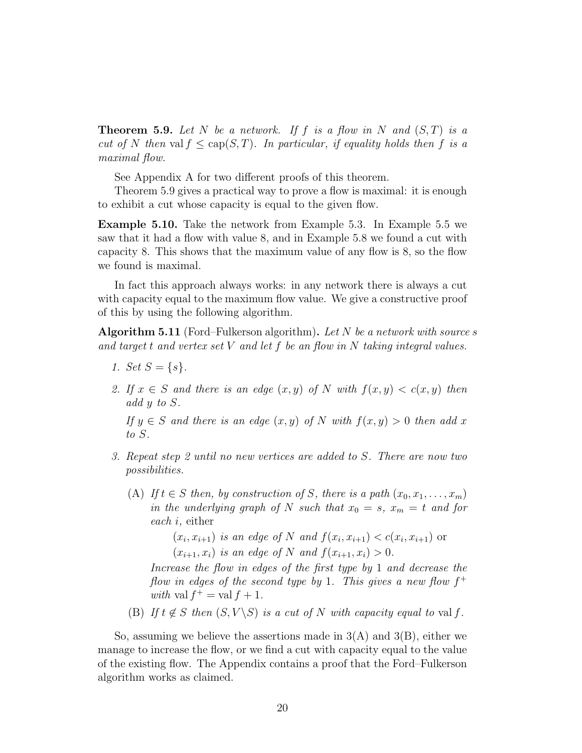**Theorem 5.9.** Let N be a network. If f is a flow in N and  $(S,T)$  is a cut of N then val  $f \leq cap(S,T)$ . In particular, if equality holds then f is a maximal flow.

See Appendix A for two different proofs of this theorem.

Theorem 5.9 gives a practical way to prove a flow is maximal: it is enough to exhibit a cut whose capacity is equal to the given flow.

Example 5.10. Take the network from Example 5.3. In Example 5.5 we saw that it had a flow with value 8, and in Example 5.8 we found a cut with capacity 8. This shows that the maximum value of any flow is 8, so the flow we found is maximal.

In fact this approach always works: in any network there is always a cut with capacity equal to the maximum flow value. We give a constructive proof of this by using the following algorithm.

**Algorithm 5.11** (Ford–Fulkerson algorithm). Let N be a network with source s and target t and vertex set  $V$  and let  $f$  be an flow in  $N$  taking integral values.

- 1. Set  $S = \{s\}.$
- 2. If  $x \in S$  and there is an edge  $(x, y)$  of N with  $f(x, y) < c(x, y)$  then add y to S.

If  $y \in S$  and there is an edge  $(x, y)$  of N with  $f(x, y) > 0$  then add x to S.

- 3. Repeat step 2 until no new vertices are added to S. There are now two possibilities.
	- (A) If  $t \in S$  then, by construction of S, there is a path  $(x_0, x_1, \ldots, x_m)$ in the underlying graph of N such that  $x_0 = s$ ,  $x_m = t$  and for each i, either

 $(x_i, x_{i+1})$  is an edge of N and  $f(x_i, x_{i+1}) < c(x_i, x_{i+1})$  or  $(x_{i+1}, x_i)$  is an edge of N and  $f(x_{i+1}, x_i) > 0$ .

Increase the flow in edges of the first type by 1 and decrease the flow in edges of the second type by 1. This gives a new flow  $f^+$ with val  $f^+$  = val  $f + 1$ .

(B) If  $t \notin S$  then  $(S, V \backslash S)$  is a cut of N with capacity equal to val f.

So, assuming we believe the assertions made in  $3(A)$  and  $3(B)$ , either we manage to increase the flow, or we find a cut with capacity equal to the value of the existing flow. The Appendix contains a proof that the Ford–Fulkerson algorithm works as claimed.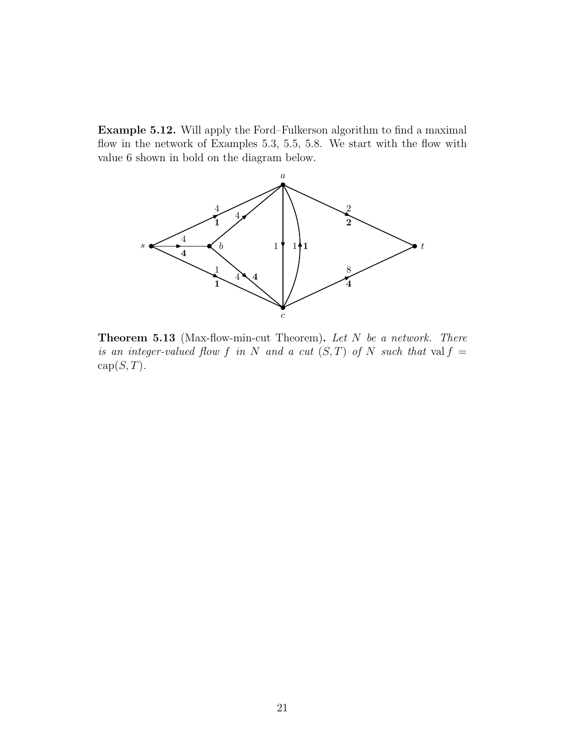Example 5.12. Will apply the Ford–Fulkerson algorithm to find a maximal flow in the network of Examples 5.3, 5.5, 5.8. We start with the flow with value 6 shown in bold on the diagram below.



Theorem 5.13 (Max-flow-min-cut Theorem). Let N be a network. There is an integer-valued flow f in N and a cut  $(S,T)$  of N such that val  $f =$  $cap(S, T)$ .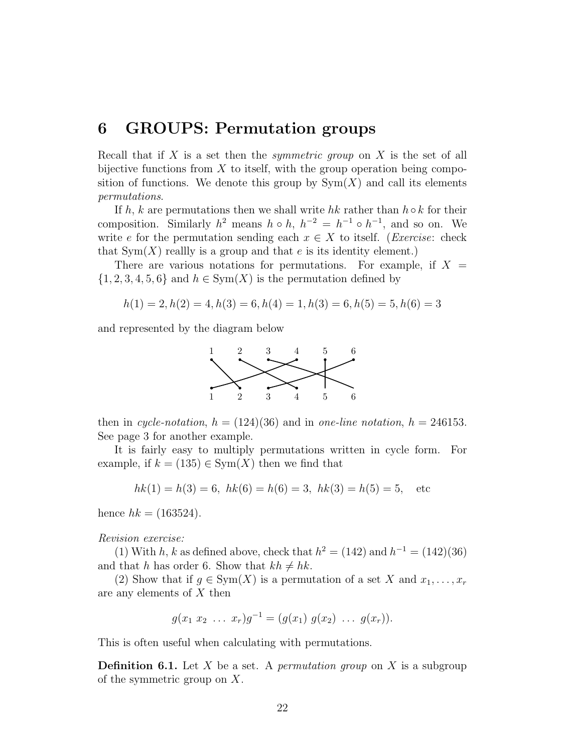## 6 GROUPS: Permutation groups

Recall that if  $X$  is a set then the *symmetric group* on  $X$  is the set of all bijective functions from  $X$  to itself, with the group operation being composition of functions. We denote this group by  $Sym(X)$  and call its elements permutations.

If h, k are permutations then we shall write hk rather than  $h \circ k$  for their composition. Similarly  $h^2$  means  $h \circ h$ ,  $h^{-2} = h^{-1} \circ h^{-1}$ , and so on. We write e for the permutation sending each  $x \in X$  to itself. (*Exercise:* check that  $Sym(X)$  reallly is a group and that e is its identity element.)

There are various notations for permutations. For example, if  $X =$  $\{1, 2, 3, 4, 5, 6\}$  and  $h \in Sym(X)$  is the permutation defined by

$$
h(1) = 2, h(2) = 4, h(3) = 6, h(4) = 1, h(3) = 6, h(5) = 5, h(6) = 3
$$

and represented by the diagram below



then in cycle-notation,  $h = (124)(36)$  and in one-line notation,  $h = 246153$ . See page 3 for another example.

It is fairly easy to multiply permutations written in cycle form. For example, if  $k = (135) \in \text{Sym}(X)$  then we find that

$$
hk(1) = h(3) = 6, hk(6) = h(6) = 3, hk(3) = h(5) = 5, etc
$$

hence  $hk = (163524)$ .

Revision exercise:

(1) With h, k as defined above, check that  $h^2 = (142)$  and  $h^{-1} = (142)(36)$ and that h has order 6. Show that  $kh \neq hk$ .

(2) Show that if  $g \in \text{Sym}(X)$  is a permutation of a set X and  $x_1, \ldots, x_r$ are any elements of X then

$$
g(x_1 x_2 \ldots x_r)g^{-1} = (g(x_1) g(x_2) \ldots g(x_r)).
$$

This is often useful when calculating with permutations.

**Definition 6.1.** Let X be a set. A *permutation group* on X is a subgroup of the symmetric group on X.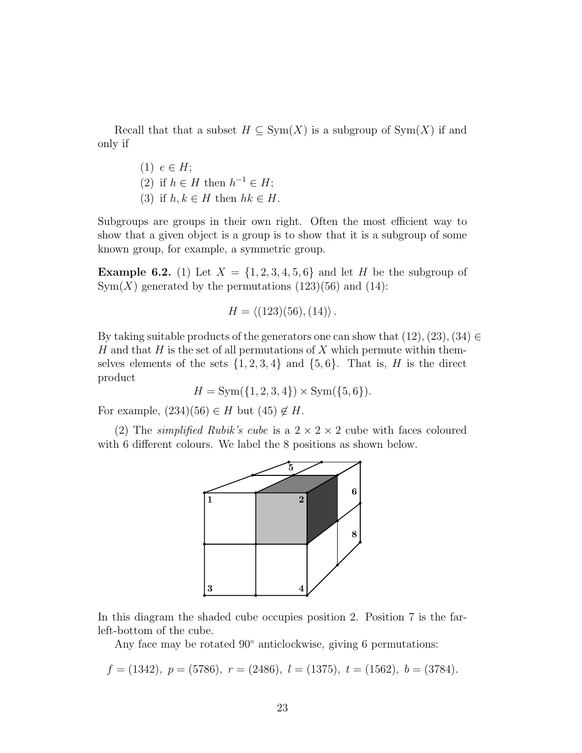Recall that that a subset  $H \subseteq Sym(X)$  is a subgroup of  $Sym(X)$  if and only if

> (1)  $e \in H$ ; (2) if  $h \in H$  then  $h^{-1} \in H$ ; (3) if  $h, k \in H$  then  $hk \in H$ .

Subgroups are groups in their own right. Often the most efficient way to show that a given object is a group is to show that it is a subgroup of some known group, for example, a symmetric group.

**Example 6.2.** (1) Let  $X = \{1, 2, 3, 4, 5, 6\}$  and let H be the subgroup of  $Sym(X)$  generated by the permutations  $(123)(56)$  and  $(14)$ :

 $H = \langle (123)(56), (14) \rangle.$ 

By taking suitable products of the generators one can show that  $(12), (23), (34) \in$ H and that H is the set of all permutations of X which permute within themselves elements of the sets  $\{1, 2, 3, 4\}$  and  $\{5, 6\}$ . That is, H is the direct product

$$
H = Sym({1, 2, 3, 4}) \times Sym({5, 6}).
$$

For example,  $(234)(56) \in H$  but  $(45) \notin H$ .

(2) The *simplified Rubik's cube* is a  $2 \times 2 \times 2$  cube with faces coloured with 6 different colours. We label the 8 positions as shown below.



In this diagram the shaded cube occupies position 2. Position 7 is the farleft-bottom of the cube.

Any face may be rotated 90◦ anticlockwise, giving 6 permutations:

$$
f = (1342), p = (5786), r = (2486), l = (1375), t = (1562), b = (3784).
$$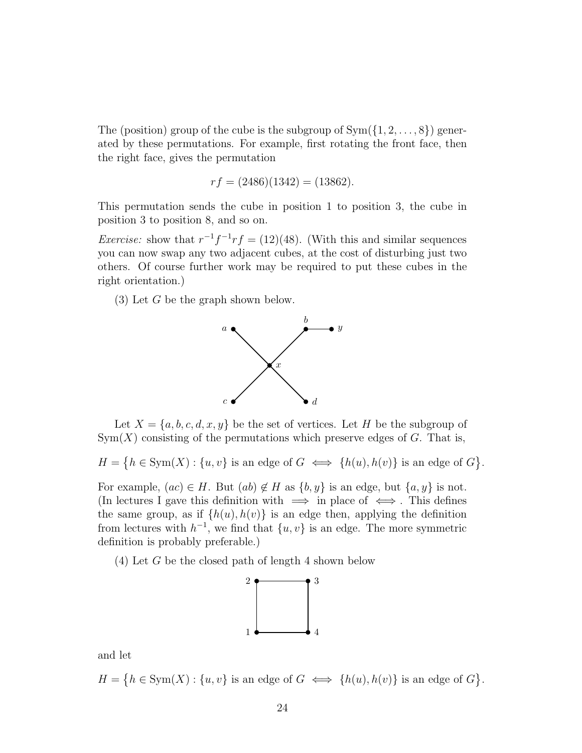The (position) group of the cube is the subgroup of  $Sym({1, 2, \ldots, 8})$  generated by these permutations. For example, first rotating the front face, then the right face, gives the permutation

$$
rf = (2486)(1342) = (13862).
$$

This permutation sends the cube in position 1 to position 3, the cube in position 3 to position 8, and so on.

*Exercise:* show that  $r^{-1}f^{-1}rf = (12)(48)$ . (With this and similar sequences you can now swap any two adjacent cubes, at the cost of disturbing just two others. Of course further work may be required to put these cubes in the right orientation.)

(3) Let G be the graph shown below.



Let  $X = \{a, b, c, d, x, y\}$  be the set of vertices. Let H be the subgroup of  $Sym(X)$  consisting of the permutations which preserve edges of G. That is,

 $H = \{h \in \text{Sym}(X) : \{u, v\} \text{ is an edge of } G \iff \{h(u), h(v)\} \text{ is an edge of } G\}.$ 

For example,  $(ac) \in H$ . But  $(ab) \notin H$  as  $\{b, y\}$  is an edge, but  $\{a, y\}$  is not. (In lectures I gave this definition with  $\implies$  in place of  $\iff$ . This defines the same group, as if  $\{h(u), h(v)\}\$ is an edge then, applying the definition from lectures with  $h^{-1}$ , we find that  $\{u, v\}$  is an edge. The more symmetric definition is probably preferable.)

(4) Let G be the closed path of length 4 shown below



and let

 $H = \{h \in \text{Sym}(X) : \{u, v\} \text{ is an edge of } G \iff \{h(u), h(v)\} \text{ is an edge of } G\}.$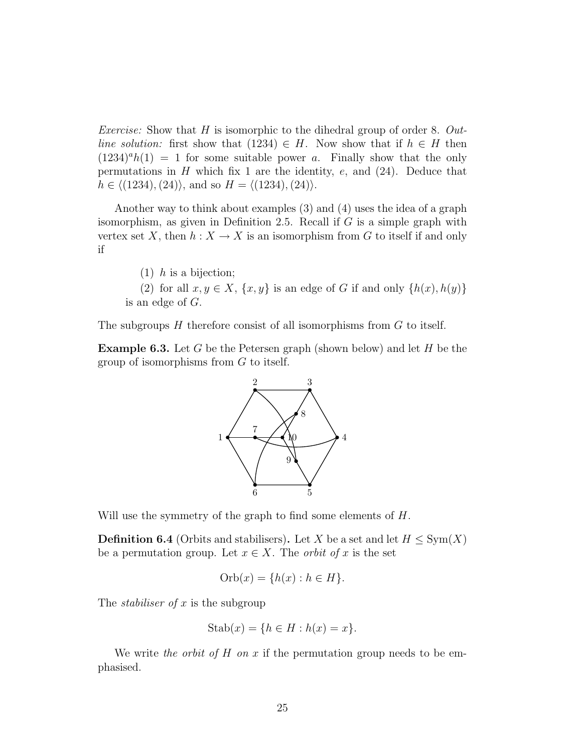*Exercise:* Show that H is isomorphic to the dihedral group of order 8. Outline solution: first show that (1234)  $\in$  H. Now show that if  $h \in H$  then  $(1234)^{a}h(1) = 1$  for some suitable power a. Finally show that the only permutations in  $H$  which fix 1 are the identity,  $e$ , and  $(24)$ . Deduce that  $h \in \langle (1234), (24) \rangle$ , and so  $H = \langle (1234), (24) \rangle$ .

Another way to think about examples (3) and (4) uses the idea of a graph isomorphism, as given in Definition 2.5. Recall if  $G$  is a simple graph with vertex set X, then  $h: X \to X$  is an isomorphism from G to itself if and only if

 $(1)$  h is a bijection;

(2) for all  $x, y \in X$ ,  $\{x, y\}$  is an edge of G if and only  $\{h(x), h(y)\}$ is an edge of G.

The subgroups  $H$  therefore consist of all isomorphisms from  $G$  to itself.

**Example 6.3.** Let G be the Petersen graph (shown below) and let H be the group of isomorphisms from G to itself.



Will use the symmetry of the graph to find some elements of  $H$ .

**Definition 6.4** (Orbits and stabilisers). Let X be a set and let  $H \leq \text{Sym}(X)$ be a permutation group. Let  $x \in X$ . The *orbit of* x is the set

$$
\text{Orb}(x) = \{h(x) : h \in H\}.
$$

The *stabiliser of* x is the subgroup

$$
Stab(x) = \{ h \in H : h(x) = x \}.
$$

We write the orbit of  $H$  on  $x$  if the permutation group needs to be emphasised.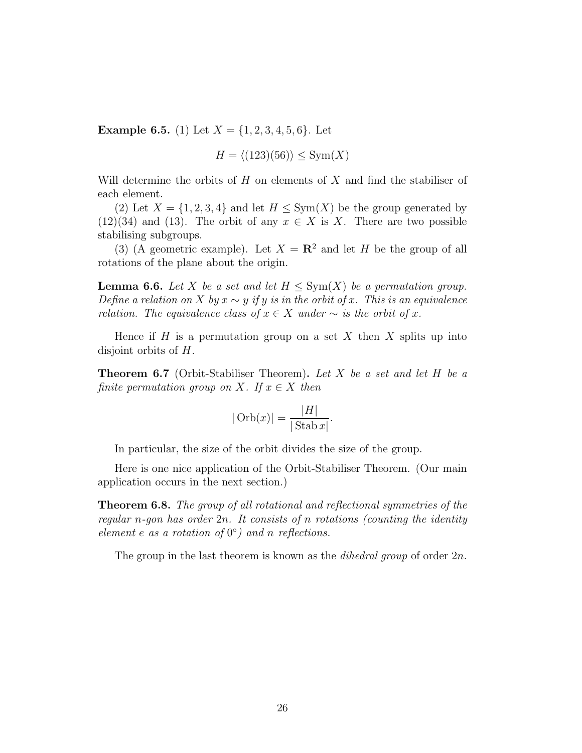**Example 6.5.** (1) Let  $X = \{1, 2, 3, 4, 5, 6\}$ . Let

$$
H = \langle (123)(56) \rangle \le \text{Sym}(X)
$$

Will determine the orbits of  $H$  on elements of  $X$  and find the stabiliser of each element.

(2) Let  $X = \{1, 2, 3, 4\}$  and let  $H \leq \text{Sym}(X)$  be the group generated by  $(12)(34)$  and  $(13)$ . The orbit of any  $x \in X$  is X. There are two possible stabilising subgroups.

(3) (A geometric example). Let  $X = \mathbb{R}^2$  and let H be the group of all rotations of the plane about the origin.

**Lemma 6.6.** Let X be a set and let  $H \le \text{Sym}(X)$  be a permutation group. Define a relation on X by  $x \sim y$  if y is in the orbit of x. This is an equivalence relation. The equivalence class of  $x \in X$  under  $\sim$  is the orbit of x.

Hence if  $H$  is a permutation group on a set  $X$  then  $X$  splits up into disjoint orbits of H.

**Theorem 6.7** (Orbit-Stabiliser Theorem). Let X be a set and let H be a finite permutation group on X. If  $x \in X$  then

$$
|\operatorname{Orb}(x)| = \frac{|H|}{|\operatorname{Stab} x|}.
$$

In particular, the size of the orbit divides the size of the group.

Here is one nice application of the Orbit-Stabiliser Theorem. (Our main application occurs in the next section.)

Theorem 6.8. The group of all rotational and reflectional symmetries of the regular n-gon has order  $2n$ . It consists of n rotations (counting the identity element  $e$  as a rotation of  $0^{\circ}$ ) and n reflections.

The group in the last theorem is known as the *dihedral group* of order  $2n$ .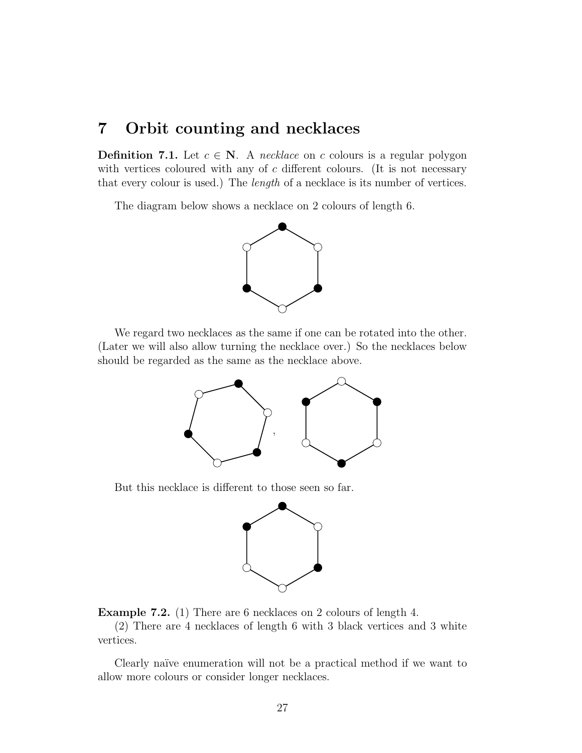### 7 Orbit counting and necklaces

**Definition 7.1.** Let  $c \in \mathbb{N}$ . A necklace on c colours is a regular polygon with vertices coloured with any of  $c$  different colours. (It is not necessary that every colour is used.) The length of a necklace is its number of vertices.

The diagram below shows a necklace on 2 colours of length 6.



We regard two necklaces as the same if one can be rotated into the other. (Later we will also allow turning the necklace over.) So the necklaces below should be regarded as the same as the necklace above.



But this necklace is different to those seen so far.



Example 7.2. (1) There are 6 necklaces on 2 colours of length 4.

(2) There are 4 necklaces of length 6 with 3 black vertices and 3 white vertices.

Clearly naïve enumeration will not be a practical method if we want to allow more colours or consider longer necklaces.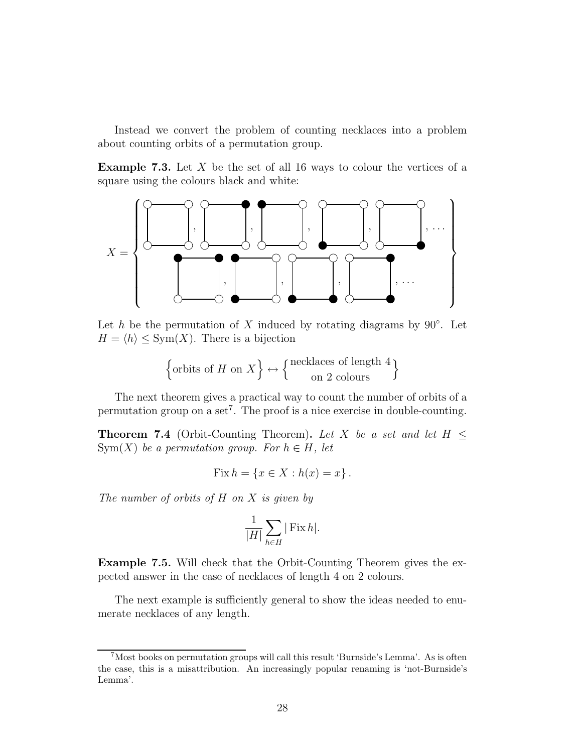Instead we convert the problem of counting necklaces into a problem about counting orbits of a permutation group.

**Example 7.3.** Let X be the set of all 16 ways to colour the vertices of a square using the colours black and white:



Let h be the permutation of X induced by rotating diagrams by  $90^\circ$ . Let  $H = \langle h \rangle \le \text{Sym}(X)$ . There is a bijection

$$
\left\{\text{orbits of } H \text{ on } X\right\} \leftrightarrow \left\{\begin{matrix} \text{necklaces of length 4} \\ \text{on 2 colours} \end{matrix}\right\}
$$

The next theorem gives a practical way to count the number of orbits of a permutation group on a set<sup>7</sup>. The proof is a nice exercise in double-counting.

**Theorem 7.4** (Orbit-Counting Theorem). Let X be a set and let  $H \leq$  $Sym(X)$  be a permutation group. For  $h \in H$ , let

$$
Fix h = \{x \in X : h(x) = x\}.
$$

The number of orbits of  $H$  on  $X$  is given by

$$
\frac{1}{|H|} \sum_{h \in H} |\operatorname{Fix} h|.
$$

Example 7.5. Will check that the Orbit-Counting Theorem gives the expected answer in the case of necklaces of length 4 on 2 colours.

The next example is sufficiently general to show the ideas needed to enumerate necklaces of any length.

<sup>7</sup>Most books on permutation groups will call this result 'Burnside's Lemma'. As is often the case, this is a misattribution. An increasingly popular renaming is 'not-Burnside's Lemma'.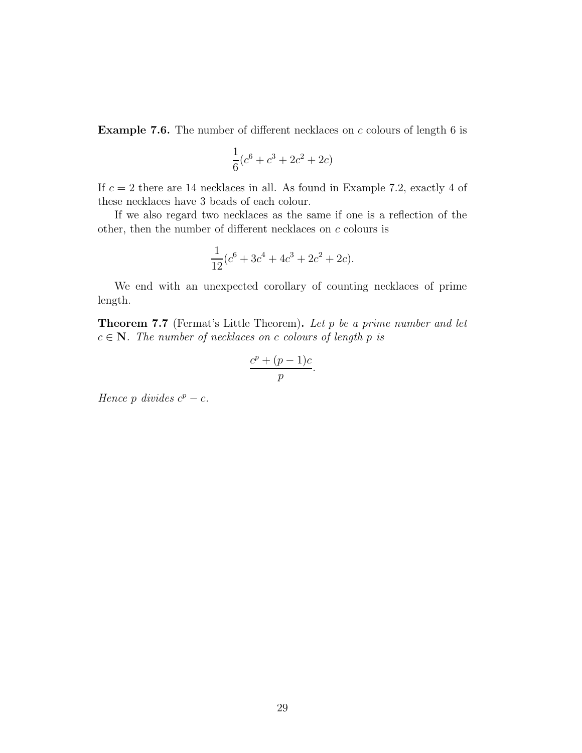**Example 7.6.** The number of different necklaces on  $c$  colours of length 6 is

$$
\frac{1}{6}(c^6 + c^3 + 2c^2 + 2c)
$$

If  $c = 2$  there are 14 necklaces in all. As found in Example 7.2, exactly 4 of these necklaces have 3 beads of each colour.

If we also regard two necklaces as the same if one is a reflection of the other, then the number of different necklaces on  $c$  colours is

$$
\frac{1}{12}(c^6 + 3c^4 + 4c^3 + 2c^2 + 2c).
$$

We end with an unexpected corollary of counting necklaces of prime length.

Theorem 7.7 (Fermat's Little Theorem). Let p be a prime number and let  $c \in \mathbb{N}$ . The number of necklaces on c colours of length p is

$$
\frac{c^p + (p-1)c}{p}.
$$

Hence p divides  $c^p - c$ .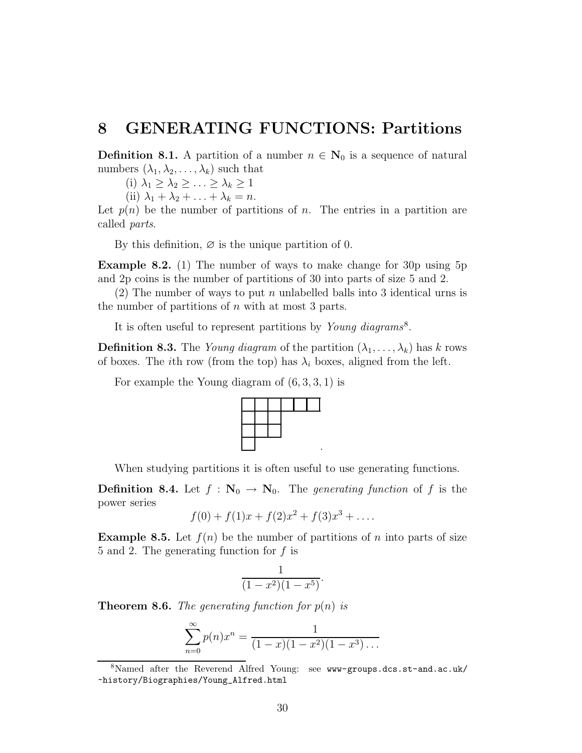## 8 GENERATING FUNCTIONS: Partitions

**Definition 8.1.** A partition of a number  $n \in \mathbb{N}_0$  is a sequence of natural numbers  $(\lambda_1, \lambda_2, \ldots, \lambda_k)$  such that

(i)  $\lambda_1 \geq \lambda_2 \geq \ldots \geq \lambda_k \geq 1$ 

(ii)  $\lambda_1 + \lambda_2 + \ldots + \lambda_k = n$ .

Let  $p(n)$  be the number of partitions of n. The entries in a partition are called parts.

By this definition,  $\varnothing$  is the unique partition of 0.

Example 8.2. (1) The number of ways to make change for 30p using 5p and 2p coins is the number of partitions of 30 into parts of size 5 and 2.

(2) The number of ways to put n unlabelled balls into 3 identical urns is the number of partitions of  $n$  with at most 3 parts.

It is often useful to represent partitions by Young diagrams<sup>8</sup>.

**Definition 8.3.** The *Young diagram* of the partition  $(\lambda_1, \ldots, \lambda_k)$  has k rows of boxes. The *i*th row (from the top) has  $\lambda_i$  boxes, aligned from the left.

For example the Young diagram of  $(6, 3, 3, 1)$  is



When studying partitions it is often useful to use generating functions.

.

**Definition 8.4.** Let  $f : \mathbb{N}_0 \to \mathbb{N}_0$ . The *generating function* of f is the power series

$$
f(0) + f(1)x + f(2)x^{2} + f(3)x^{3} + \dots
$$

**Example 8.5.** Let  $f(n)$  be the number of partitions of n into parts of size 5 and 2. The generating function for f is

$$
\frac{1}{(1-x^2)(1-x^5)}.
$$

**Theorem 8.6.** The generating function for  $p(n)$  is

$$
\sum_{n=0}^{\infty} p(n)x^n = \frac{1}{(1-x)(1-x^2)(1-x^3)\dots}
$$

<sup>8</sup>Named after the Reverend Alfred Young: see www-groups.dcs.st-and.ac.uk/ ~history/Biographies/Young\_Alfred.html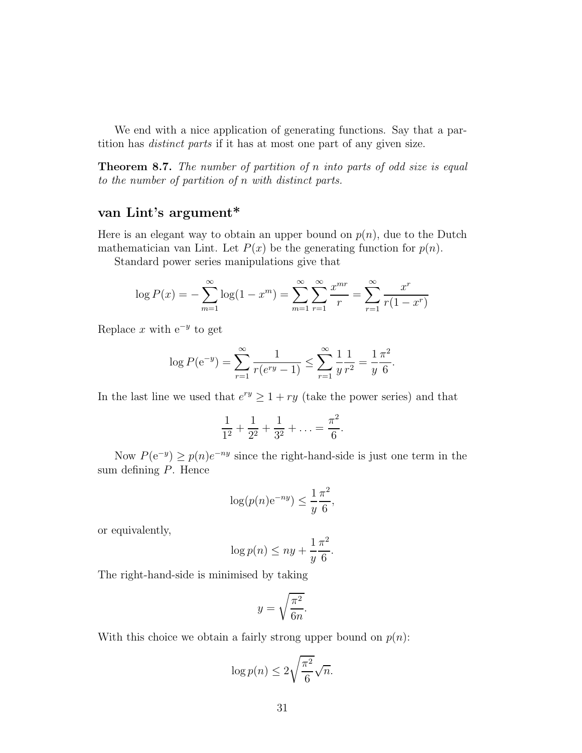We end with a nice application of generating functions. Say that a partition has distinct parts if it has at most one part of any given size.

Theorem 8.7. The number of partition of n into parts of odd size is equal to the number of partition of n with distinct parts.

### van Lint's argument\*

Here is an elegant way to obtain an upper bound on  $p(n)$ , due to the Dutch mathematician van Lint. Let  $P(x)$  be the generating function for  $p(n)$ .

Standard power series manipulations give that

$$
\log P(x) = -\sum_{m=1}^{\infty} \log(1 - x^m) = \sum_{m=1}^{\infty} \sum_{r=1}^{\infty} \frac{x^{mr}}{r} = \sum_{r=1}^{\infty} \frac{x^r}{r(1 - x^r)}
$$

Replace x with  $e^{-y}$  to get

$$
\log P(e^{-y}) = \sum_{r=1}^{\infty} \frac{1}{r(e^{ry} - 1)} \le \sum_{r=1}^{\infty} \frac{1}{y} \frac{1}{r^2} = \frac{1}{y} \frac{\pi^2}{6}.
$$

In the last line we used that  $e^{ry} \geq 1 + ry$  (take the power series) and that

$$
\frac{1}{1^2} + \frac{1}{2^2} + \frac{1}{3^2} + \ldots = \frac{\pi^2}{6}.
$$

Now  $P(e^{-y}) \ge p(n)e^{-ny}$  since the right-hand-side is just one term in the sum defining P. Hence

$$
\log(p(n)e^{-ny}) \le \frac{1}{y}\frac{\pi^2}{6},
$$

or equivalently,

$$
\log p(n) \le ny + \frac{1}{y} \frac{\pi^2}{6}.
$$

The right-hand-side is minimised by taking

$$
y = \sqrt{\frac{\pi^2}{6n}}.
$$

With this choice we obtain a fairly strong upper bound on  $p(n)$ :

$$
\log p(n) \le 2\sqrt{\frac{\pi^2}{6}}\sqrt{n}.
$$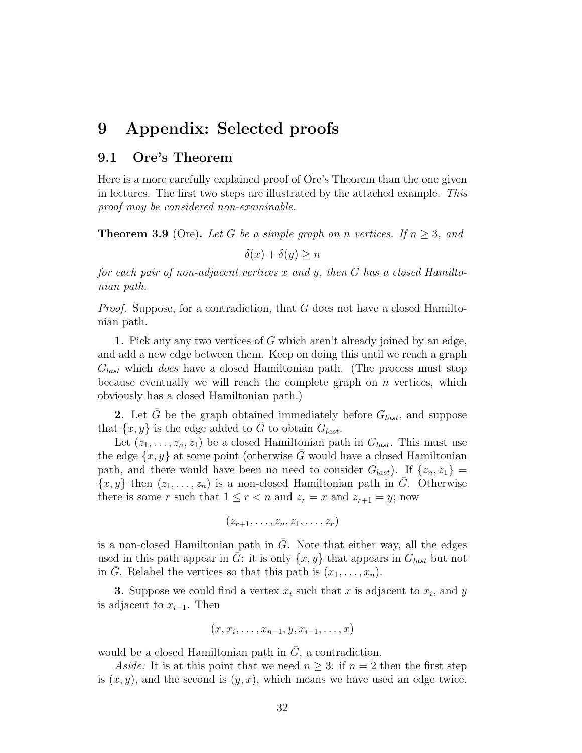## 9 Appendix: Selected proofs

#### 9.1 Ore's Theorem

Here is a more carefully explained proof of Ore's Theorem than the one given in lectures. The first two steps are illustrated by the attached example. This proof may be considered non-examinable.

**Theorem 3.9** (Ore). Let G be a simple graph on n vertices. If  $n \geq 3$ , and

 $\delta(x) + \delta(y) \geq n$ 

for each pair of non-adjacent vertices x and y, then G has a closed Hamiltonian path.

*Proof.* Suppose, for a contradiction, that  $G$  does not have a closed Hamiltonian path.

1. Pick any any two vertices of G which aren't already joined by an edge, and add a new edge between them. Keep on doing this until we reach a graph  $G_{last}$  which *does* have a closed Hamiltonian path. (The process must stop because eventually we will reach the complete graph on  $n$  vertices, which obviously has a closed Hamiltonian path.)

2. Let  $\bar{G}$  be the graph obtained immediately before  $G_{last}$ , and suppose that  $\{x, y\}$  is the edge added to  $\overline{G}$  to obtain  $G_{last}$ .

Let  $(z_1, \ldots, z_n, z_1)$  be a closed Hamiltonian path in  $G_{last}$ . This must use the edge  $\{x, y\}$  at some point (otherwise G would have a closed Hamiltonian path, and there would have been no need to consider  $G_{last}$ ). If  $\{z_n, z_1\} =$  ${x, y}$  then  $(z_1, \ldots, z_n)$  is a non-closed Hamiltonian path in G. Otherwise there is some r such that  $1 \leq r < n$  and  $z_r = x$  and  $z_{r+1} = y$ ; now

$$
(z_{r+1},\ldots,z_n,z_1,\ldots,z_r)
$$

is a non-closed Hamiltonian path in  $\overline{G}$ . Note that either way, all the edges used in this path appear in G: it is only  $\{x, y\}$  that appears in  $G_{last}$  but not in G. Relabel the vertices so that this path is  $(x_1, \ldots, x_n)$ .

**3.** Suppose we could find a vertex  $x_i$  such that x is adjacent to  $x_i$ , and y is adjacent to  $x_{i-1}$ . Then

$$
(x,x_i,\ldots,x_{n-1},y,x_{i-1},\ldots,x)
$$

would be a closed Hamiltonian path in  $\overline{G}$ , a contradiction.

Aside: It is at this point that we need  $n \geq 3$ : if  $n = 2$  then the first step is  $(x, y)$ , and the second is  $(y, x)$ , which means we have used an edge twice.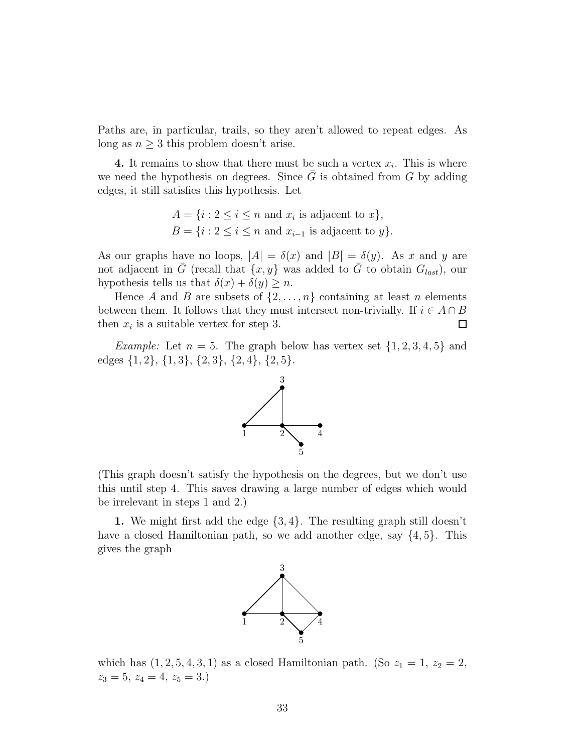Paths are, in particular, trails, so they aren't allowed to repeat edges. As long as  $n \geq 3$  this problem doesn't arise.

**4.** It remains to show that there must be such a vertex  $x_i$ . This is where we need the hypothesis on degrees. Since  $\overline{G}$  is obtained from G by adding edges, it still satisfies this hypothesis. Let

$$
A = \{i : 2 \le i \le n \text{ and } x_i \text{ is adjacent to } x\},\
$$
  

$$
B = \{i : 2 \le i \le n \text{ and } x_{i-1} \text{ is adjacent to } y\}.
$$

As our graphs have no loops,  $|A| = \delta(x)$  and  $|B| = \delta(y)$ . As x and y are not adjacent in  $\bar{G}$  (recall that  $\{x, y\}$  was added to  $\bar{G}$  to obtain  $G_{last}$ ), our hypothesis tells us that  $\delta(x) + \delta(y) \geq n$ .

Hence A and B are subsets of  $\{2, \ldots, n\}$  containing at least n elements between them. It follows that they must intersect non-trivially. If  $i \in A \cap B$ <br>then  $x_i$  is a suitable vertex for step 3. then  $x_i$  is a suitable vertex for step 3.

*Example:* Let  $n = 5$ . The graph below has vertex set  $\{1, 2, 3, 4, 5\}$  and edges {1, 2}, {1, 3}, {2, 3}, {2, 4}, {2, 5}.



(This graph doesn't satisfy the hypothesis on the degrees, but we don't use this until step 4. This saves drawing a large number of edges which would be irrelevant in steps 1 and 2.)

1. We might first add the edge {3, 4}. The resulting graph still doesn't have a closed Hamiltonian path, so we add another edge, say  $\{4, 5\}$ . This gives the graph



which has  $(1, 2, 5, 4, 3, 1)$  as a closed Hamiltonian path. (So  $z_1 = 1, z_2 = 2$ ,  $z_3 = 5, z_4 = 4, z_5 = 3.$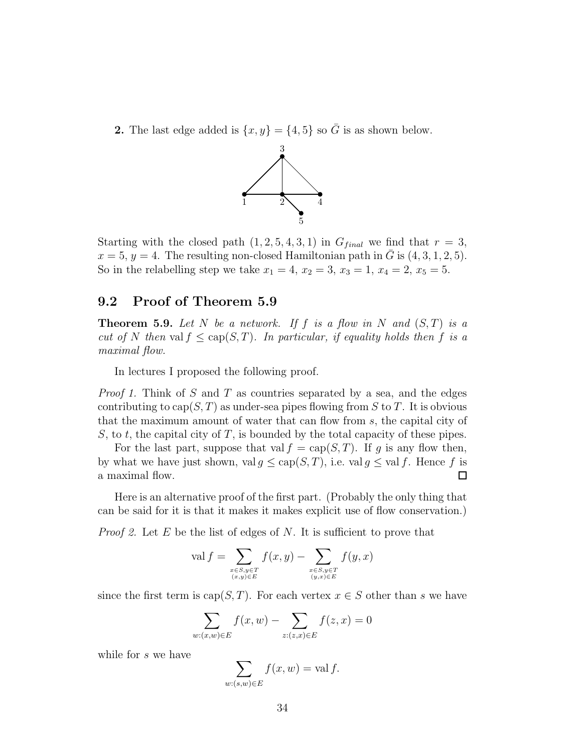2. The last edge added is  $\{x, y\} = \{4, 5\}$  so  $\overline{G}$  is as shown below.



Starting with the closed path  $(1, 2, 5, 4, 3, 1)$  in  $G_{final}$  we find that  $r = 3$ ,  $x = 5$ ,  $y = 4$ . The resulting non-closed Hamiltonian path in  $\overline{G}$  is  $(4, 3, 1, 2, 5)$ . So in the relabelling step we take  $x_1 = 4$ ,  $x_2 = 3$ ,  $x_3 = 1$ ,  $x_4 = 2$ ,  $x_5 = 5$ .

#### 9.2 Proof of Theorem 5.9

**Theorem 5.9.** Let N be a network. If f is a flow in N and  $(S,T)$  is a cut of N then val  $f \leq cap(S,T)$ . In particular, if equality holds then f is a maximal flow.

In lectures I proposed the following proof.

*Proof 1.* Think of S and T as countries separated by a sea, and the edges contributing to  $cap(S, T)$  as under-sea pipes flowing from S to T. It is obvious that the maximum amount of water that can flow from s, the capital city of S, to t, the capital city of T, is bounded by the total capacity of these pipes.

For the last part, suppose that val  $f = \text{cap}(S, T)$ . If g is any flow then, by what we have just shown, val  $g \leq \text{cap}(S, T)$ , i.e. val  $g \leq \text{val } f$ . Hence f is a maximal flow. a maximal flow.

Here is an alternative proof of the first part. (Probably the only thing that can be said for it is that it makes it makes explicit use of flow conservation.)

*Proof 2.* Let  $E$  be the list of edges of  $N$ . It is sufficient to prove that

$$
\operatorname{val} f = \sum_{\substack{x \in S, y \in T \\ (x, y) \in E}} f(x, y) - \sum_{\substack{x \in S, y \in T \\ (y, x) \in E}} f(y, x)
$$

since the first term is cap(S, T). For each vertex  $x \in S$  other than s we have

$$
\sum_{w:(x,w)\in E} f(x,w) - \sum_{z:(z,x)\in E} f(z,x) = 0
$$

while for s we have

$$
\sum_{w:(s,w)\in E} f(x,w) = \text{val } f.
$$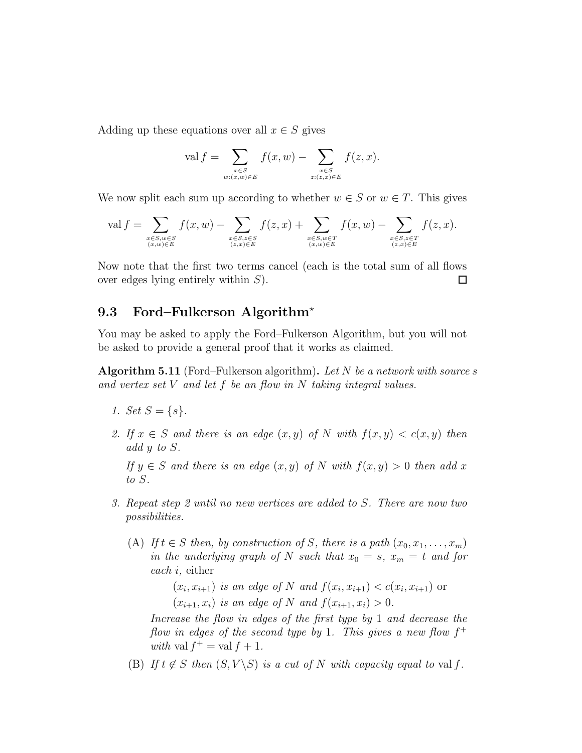Adding up these equations over all  $x \in S$  gives

$$
\operatorname{val} f = \sum_{\substack{x \in S \\ w:(x,w) \in E}} f(x, w) - \sum_{\substack{x \in S \\ z:(z,x) \in E}} f(z, x).
$$

We now split each sum up according to whether  $w \in S$  or  $w \in T$ . This gives

$$
\operatorname{val} f = \sum_{\substack{x \in S, w \in S \\ (x, w) \in E}} f(x, w) - \sum_{\substack{x \in S, z \in S \\ (z, x) \in E}} f(z, x) + \sum_{\substack{x \in S, w \in T \\ (x, w) \in E}} f(x, w) - \sum_{\substack{x \in S, z \in T \\ (z, x) \in E}} f(z, x).
$$

Now note that the first two terms cancel (each is the total sum of all flows over edges lying entirely within S).  $\Box$ 

#### 9.3 Ford–Fulkerson Algorithm<sup>\*</sup>

You may be asked to apply the Ford–Fulkerson Algorithm, but you will not be asked to provide a general proof that it works as claimed.

**Algorithm 5.11** (Ford–Fulkerson algorithm). Let N be a network with source s and vertex set V and let f be an flow in N taking integral values.

- 1. Set  $S = \{s\}.$
- 2. If  $x \in S$  and there is an edge  $(x, y)$  of N with  $f(x, y) < c(x, y)$  then add y to S.

If  $y \in S$  and there is an edge  $(x, y)$  of N with  $f(x, y) > 0$  then add x to S.

- 3. Repeat step 2 until no new vertices are added to S. There are now two possibilities.
	- (A) If  $t \in S$  then, by construction of S, there is a path  $(x_0, x_1, \ldots, x_m)$ in the underlying graph of N such that  $x_0 = s$ ,  $x_m = t$  and for each i, either

 $(x_i, x_{i+1})$  is an edge of N and  $f(x_i, x_{i+1}) < c(x_i, x_{i+1})$  or  $(x_{i+1}, x_i)$  is an edge of N and  $f(x_{i+1}, x_i) > 0$ .

Increase the flow in edges of the first type by 1 and decrease the flow in edges of the second type by 1. This gives a new flow  $f^+$ with val  $f^+$  = val  $f + 1$ .

(B) If  $t \notin S$  then  $(S, V \setminus S)$  is a cut of N with capacity equal to val f.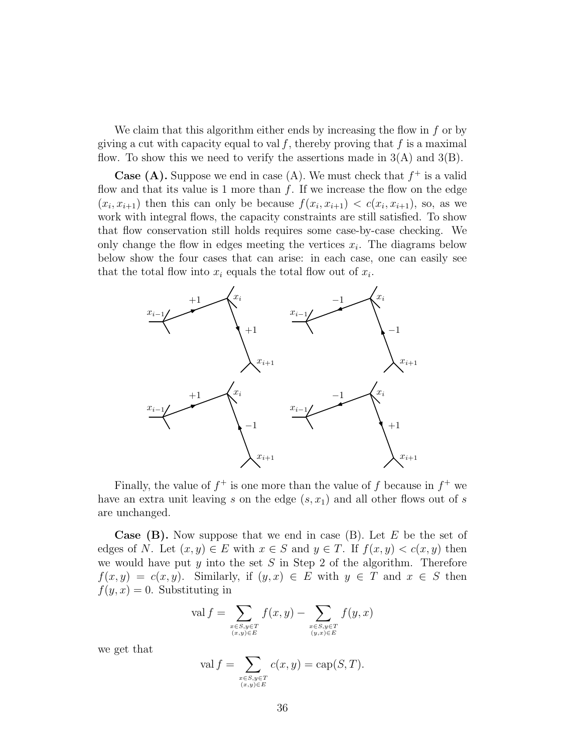We claim that this algorithm either ends by increasing the flow in  $f$  or by giving a cut with capacity equal to val f, thereby proving that f is a maximal flow. To show this we need to verify the assertions made in  $3(A)$  and  $3(B)$ .

**Case (A).** Suppose we end in case (A). We must check that  $f^+$  is a valid flow and that its value is 1 more than  $f$ . If we increase the flow on the edge  $(x_i, x_{i+1})$  then this can only be because  $f(x_i, x_{i+1}) < c(x_i, x_{i+1})$ , so, as we work with integral flows, the capacity constraints are still satisfied. To show that flow conservation still holds requires some case-by-case checking. We only change the flow in edges meeting the vertices  $x_i$ . The diagrams below below show the four cases that can arise: in each case, one can easily see that the total flow into  $x_i$  equals the total flow out of  $x_i$ .



Finally, the value of  $f^+$  is one more than the value of f because in  $f^+$  we have an extra unit leaving s on the edge  $(s, x_1)$  and all other flows out of s are unchanged.

**Case (B).** Now suppose that we end in case (B). Let  $E$  be the set of edges of N. Let  $(x, y) \in E$  with  $x \in S$  and  $y \in T$ . If  $f(x, y) < c(x, y)$  then we would have put  $y$  into the set  $S$  in Step 2 of the algorithm. Therefore  $f(x, y) = c(x, y)$ . Similarly, if  $(y, x) \in E$  with  $y \in T$  and  $x \in S$  then  $f(y, x) = 0$ . Substituting in

$$
\operatorname{val} f = \sum_{\substack{x \in S, y \in T \\ (x, y) \in E}} f(x, y) - \sum_{\substack{x \in S, y \in T \\ (y, x) \in E}} f(y, x)
$$

we get that

$$
\operatorname{val} f = \sum_{\substack{x \in S, y \in T \\ (x, y) \in E}} c(x, y) = \operatorname{cap}(S, T).
$$